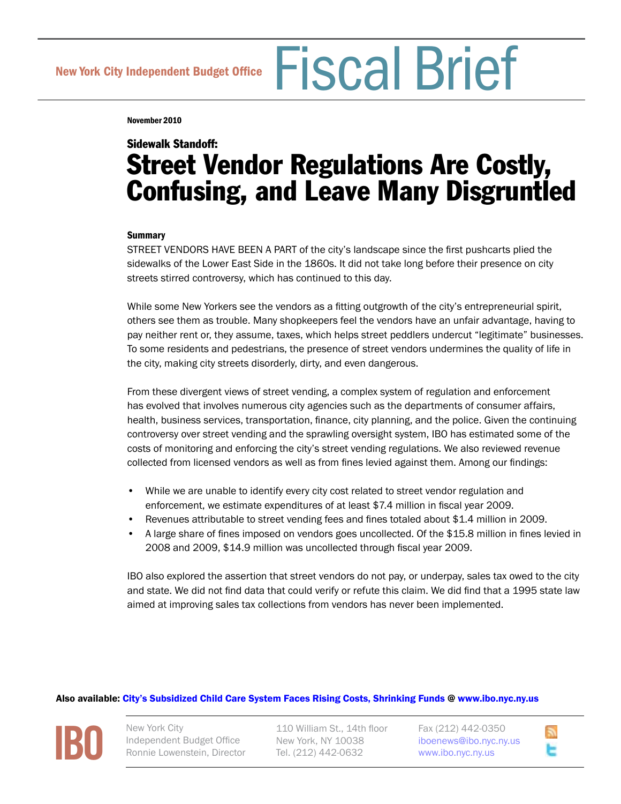New York City Independent Budget Office Fiscal Brief

November 2010

# Sidewalk Standoff: Street Vendor Regulations Are Costly, Confusing, and Leave Many Disgruntled

## Summary

STREET VENDORS HAVE BEEN A PART of the city's landscape since the first pushcarts plied the sidewalks of the Lower East Side in the 1860s. It did not take long before their presence on city streets stirred controversy, which has continued to this day.

While some New Yorkers see the vendors as a fitting outgrowth of the city's entrepreneurial spirit, others see them as trouble. Many shopkeepers feel the vendors have an unfair advantage, having to pay neither rent or, they assume, taxes, which helps street peddlers undercut "legitimate" businesses. To some residents and pedestrians, the presence of street vendors undermines the quality of life in the city, making city streets disorderly, dirty, and even dangerous.

From these divergent views of street vending, a complex system of regulation and enforcement has evolved that involves numerous city agencies such as the departments of consumer affairs, health, business services, transportation, finance, city planning, and the police. Given the continuing controversy over street vending and the sprawling oversight system, IBO has estimated some of the costs of monitoring and enforcing the city's street vending regulations. We also reviewed revenue collected from licensed vendors as well as from fines levied against them. Among our findings:

- While we are unable to identify every city cost related to street vendor regulation and enforcement, we estimate expenditures of at least \$7.4 million in fiscal year 2009.
- Revenues attributable to street vending fees and fines totaled about \$1.4 million in 2009.
- A large share of fines imposed on vendors goes uncollected. Of the \$15.8 million in fines levied in 2008 and 2009, \$14.9 million was uncollected through fiscal year 2009.

IBO also explored the assertion that street vendors do not pay, or underpay, sales tax owed to the city and state. We did not find data that could verify or refute this claim. We did find that a 1995 state law aimed at improving sales tax collections from vendors has never been implemented.

## Also available: [City's Subsidized Child Care System Faces Rising Costs, Shrinking Funds](http://www.ibo.nyc.ny.us/iboreports/childcareoctober2010.pdf) @ [www.ibo.nyc.ny.us](http://www.ibo.nyc.ny.us)

**[IBO](http://www.ibo.nyc.ny.us)**

New York City Independent Budget Office Ronnie Lowenstein, Director

110 William St., 14th floor New York, NY 10038 Tel. (212) 442-0632

Fax (212) 442-0350 i[boenews@ibo.nyc.ny.us](mailto:iboenews@ibo.nyc.ny.us) <www.ibo.nyc.ny.us>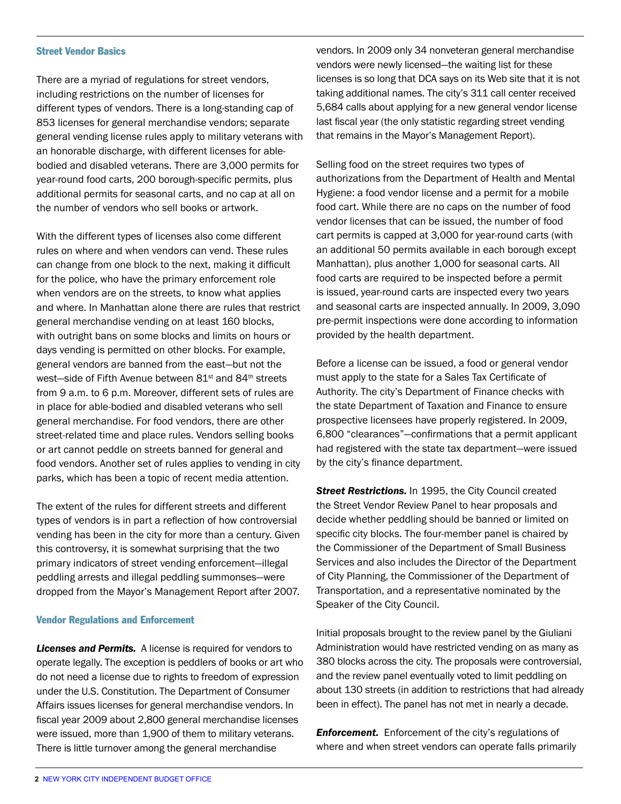#### Street Vendor Basics

There are a myriad of regulations for street vendors, including restrictions on the number of licenses for different types of vendors. There is a long-standing cap of 853 licenses for general merchandise vendors; separate general vending license rules apply to military veterans with an honorable discharge, with different licenses for ablebodied and disabled veterans. There are 3,000 permits for year-round food carts, 200 borough-specific permits, plus additional permits for seasonal carts, and no cap at all on the number of vendors who sell books or artwork.

With the different types of licenses also come different rules on where and when vendors can vend. These rules can change from one block to the next, making it difficult for the police, who have the primary enforcement role when vendors are on the streets, to know what applies and where. In Manhattan alone there are rules that restrict general merchandise vending on at least 160 blocks, with outright bans on some blocks and limits on hours or days vending is permitted on other blocks. For example, general vendors are banned from the east—but not the west-side of Fifth Avenue between 81<sup>st</sup> and 84<sup>th</sup> streets from 9 a.m. to 6 p.m. Moreover, different sets of rules are in place for able-bodied and disabled veterans who sell general merchandise. For food vendors, there are other street-related time and place rules. Vendors selling books or art cannot peddle on streets banned for general and food vendors. Another set of rules applies to vending in city parks, which has been a topic of recent media attention.

The extent of the rules for different streets and different types of vendors is in part a reflection of how controversial vending has been in the city for more than a century. Given this controversy, it is somewhat surprising that the two primary indicators of street vending enforcement—illegal peddling arrests and illegal peddling summonses—were dropped from the Mayor's Management Report after 2007.

#### Vendor Regulations and Enforcement

*Licenses and Permits.* A license is required for vendors to operate legally. The exception is peddlers of books or art who do not need a license due to rights to freedom of expression under the U.S. Constitution. The Department of Consumer Affairs issues licenses for general merchandise vendors. In fiscal year 2009 about 2,800 general merchandise licenses were issued, more than 1,900 of them to military veterans. There is little turnover among the general merchandise

vendors. In 2009 only 34 nonveteran general merchandise vendors were newly licensed—the waiting list for these licenses is so long that DCA says on its Web site that it is not taking additional names. The city's 311 call center received 5,684 calls about applying for a new general vendor license last fiscal year (the only statistic regarding street vending that remains in the Mayor's Management Report).

Selling food on the street requires two types of authorizations from the Department of Health and Mental Hygiene: a food vendor license and a permit for a mobile food cart. While there are no caps on the number of food vendor licenses that can be issued, the number of food cart permits is capped at 3,000 for year-round carts (with an additional 50 permits available in each borough except Manhattan), plus another 1,000 for seasonal carts. All food carts are required to be inspected before a permit is issued, year-round carts are inspected every two years and seasonal carts are inspected annually. In 2009, 3,090 pre-permit inspections were done according to information provided by the health department.

Before a license can be issued, a food or general vendor must apply to the state for a Sales Tax Certificate of Authority. The city's Department of Finance checks with the state Department of Taxation and Finance to ensure prospective licensees have properly registered. In 2009, 6,800 "clearances"—confirmations that a permit applicant had registered with the state tax department—were issued by the city's finance department.

**Street Restrictions.** In 1995, the City Council created the Street Vendor Review Panel to hear proposals and decide whether peddling should be banned or limited on specific city blocks. The four-member panel is chaired by the Commissioner of the Department of Small Business Services and also includes the Director of the Department of City Planning, the Commissioner of the Department of Transportation, and a representative nominated by the Speaker of the City Council.

Initial proposals brought to the review panel by the Giuliani Administration would have restricted vending on as many as 380 blocks across the city. The proposals were controversial, and the review panel eventually voted to limit peddling on about 130 streets (in addition to restrictions that had already been in effect). The panel has not met in nearly a decade.

*Enforcement.* Enforcement of the city's regulations of where and when street vendors can operate falls primarily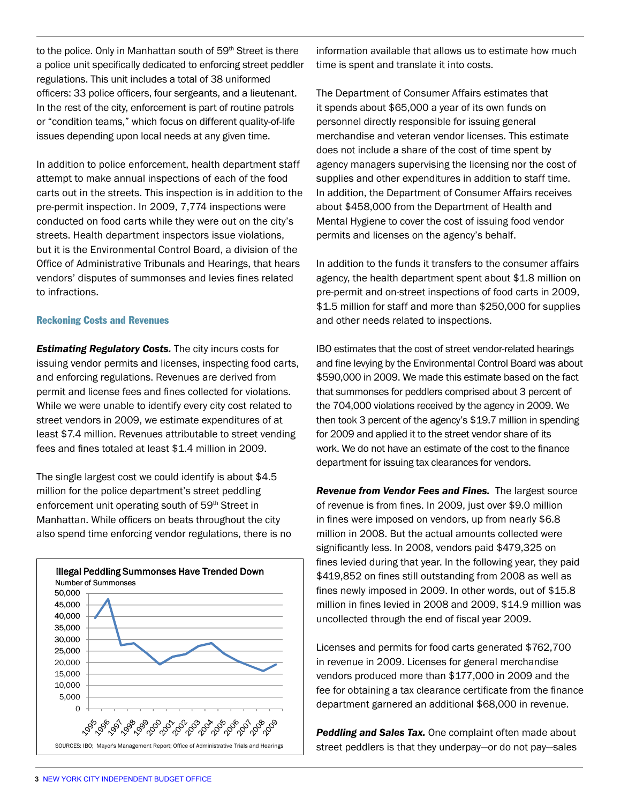to the police. Only in Manhattan south of 59<sup>th</sup> Street is there a police unit specifically dedicated to enforcing street peddler regulations. This unit includes a total of 38 uniformed officers: 33 police officers, four sergeants, and a lieutenant. In the rest of the city, enforcement is part of routine patrols or "condition teams," which focus on different quality-of-life issues depending upon local needs at any given time.

In addition to police enforcement, health department staff attempt to make annual inspections of each of the food carts out in the streets. This inspection is in addition to the pre-permit inspection. In 2009, 7,774 inspections were conducted on food carts while they were out on the city's streets. Health department inspectors issue violations, but it is the Environmental Control Board, a division of the Office of Administrative Tribunals and Hearings, that hears vendors' disputes of summonses and levies fines related to infractions. I.e. Annual Barbara

# Reckoning Costs and Revenues 39313 1995

**Estimating Regulatory Costs.** The city incurs costs for issuing vendor permits and licenses, inspecting food carts, and enforcing regulations. Revenues are derived from permit and license fees and fines collected for violations. While we were unable to identify every city cost related to street vendors in 2009, we estimate expenditures of at least \$7.4 million. Revenues attributable to street vending fees and fines totaled at least \$1.4 million in 2009.

The single largest cost we could identify is about \$4.5 million for the police department's street peddling enforcement unit operating south of 59<sup>th</sup> Street in Manhattan. While officers on beats throughout the city also spend time enforcing vendor regulations, there is no



information available that allows us to estimate how much time is spent and translate it into costs.

The Department of Consumer Affairs estimates that it spends about \$65,000 a year of its own funds on personnel directly responsible for issuing general merchandise and veteran vendor licenses. This estimate does not include a share of the cost of time spent by agency managers supervising the licensing nor the cost of supplies and other expenditures in addition to staff time. In addition, the Department of Consumer Affairs receives about \$458,000 from the Department of Health and Mental Hygiene to cover the cost of issuing food vendor permits and licenses on the agency's behalf.

In addition to the funds it transfers to the consumer affairs agency, the health department spent about \$1.8 million on pre-permit and on-street inspections of food carts in 2009, \$1.5 million for staff and more than \$250,000 for supplies and other needs related to inspections.

IBO estimates that the cost of street vendor-related hearings and fine levying by the Environmental Control Board was about \$590,000 in 2009. We made this estimate based on the fact that summonses for peddlers comprised about 3 percent of the 704,000 violations received by the agency in 2009. We then took 3 percent of the agency's \$19.7 million in spending for 2009 and applied it to the street vendor share of its work. We do not have an estimate of the cost to the finance department for issuing tax clearances for vendors.

*Revenue from Vendor Fees and Fines.* The largest source of revenue is from fines. In 2009, just over \$9.0 million in fines were imposed on vendors, up from nearly \$6.8 million in 2008. But the actual amounts collected were significantly less. In 2008, vendors paid \$479,325 on fines levied during that year. In the following year, they paid \$419,852 on fines still outstanding from 2008 as well as fines newly imposed in 2009. In other words, out of \$15.8 million in fines levied in 2008 and 2009, \$14.9 million was uncollected through the end of fiscal year 2009.

Licenses and permits for food carts generated \$762,700 in revenue in 2009. Licenses for general merchandise vendors produced more than \$177,000 in 2009 and the fee for obtaining a tax clearance certificate from the finance department garnered an additional \$68,000 in revenue.

**Peddling and Sales Tax.** One complaint often made about street peddlers is that they underpay—or do not pay—sales